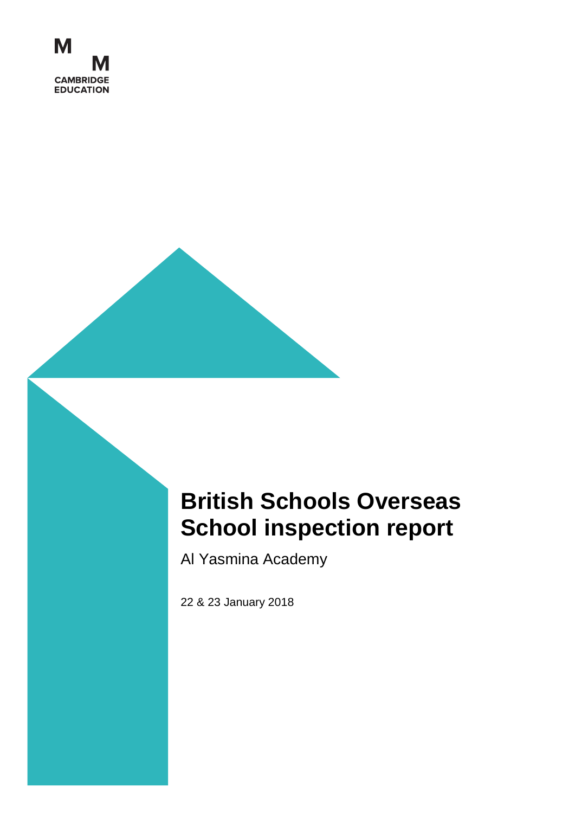

# **British Schools Overseas School inspection report**

Al Yasmina Academy

22 & 23 January 2018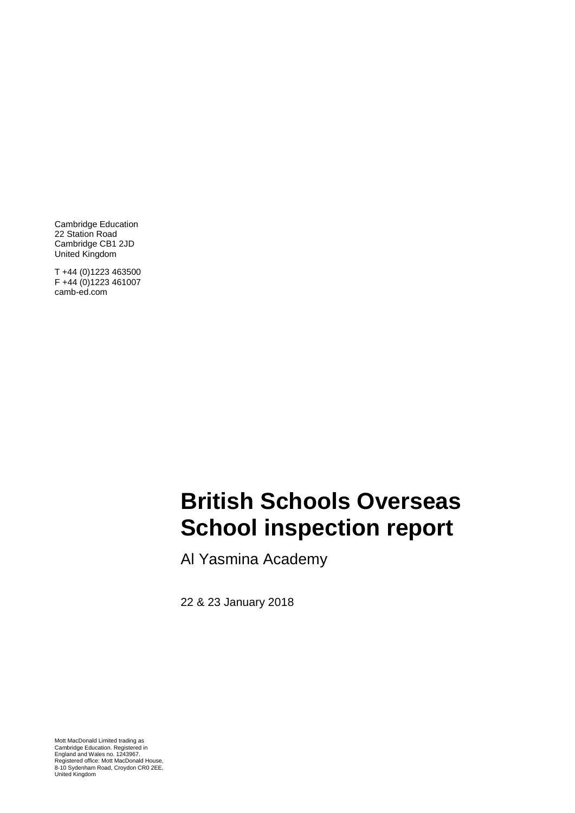Cambridge Education 22 Station Road Cambridge CB1 2JD United Kingdom

T +44 (0)1223 463500 F +44 (0)1223 461007 camb-ed.com

## AAL inengel **School inspection report British Schools Overseas**

Al Yasmina Academy

22 & 23 January 2018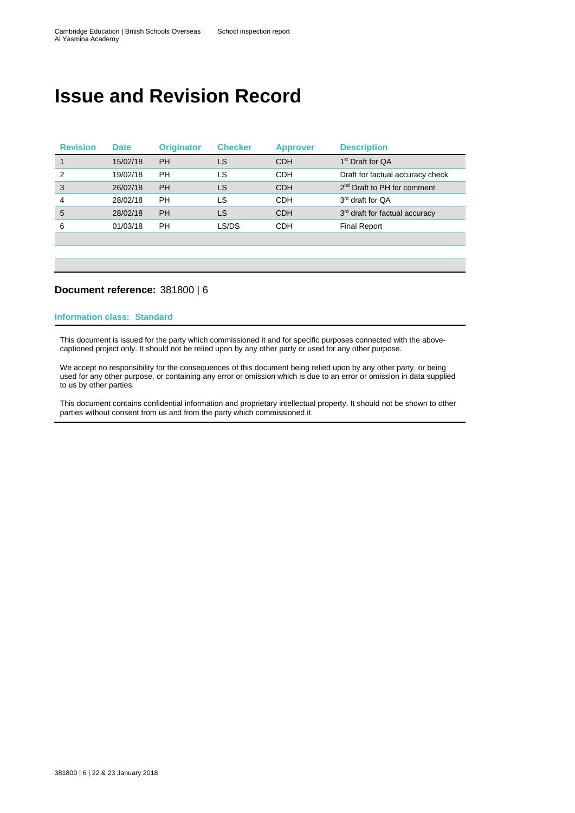# **Issue and Revision Record**

| <b>Revision</b> | <b>Date</b> | <b>Originator</b> | <b>Checker</b> | <b>Approver</b> | <b>Description</b>                      |
|-----------------|-------------|-------------------|----------------|-----------------|-----------------------------------------|
|                 | 15/02/18    | <b>PH</b>         | LS             | <b>CDH</b>      | 1 <sup>st</sup> Draft for QA            |
| 2               | 19/02/18    | PН                | LS             | CDH             | Draft for factual accuracy check        |
| 3               | 26/02/18    | <b>PH</b>         | LS             | <b>CDH</b>      | 2 <sup>nd</sup> Draft to PH for comment |
| 4               | 28/02/18    | PН                | LS             | CDH             | 3 <sup>rd</sup> draft for QA            |
| 5               | 28/02/18    | PH                | LS             | <b>CDH</b>      | 3rd draft for factual accuracy          |
| 6               | 01/03/18    | PН                | LS/DS          | CDH             | <b>Final Report</b>                     |
|                 |             |                   |                |                 |                                         |

#### **Document reference:** 381800 | 6

#### **Information class: Standard**

This document is issued for the party which commissioned it and for specific purposes connected with the abovecaptioned project only. It should not be relied upon by any other party or used for any other purpose.

We accept no responsibility for the consequences of this document being relied upon by any other party, or being used for any other purpose, or containing any error or omission which is due to an error or omission in data supplied to us by other parties.

This document contains confidential information and proprietary intellectual property. It should not be shown to other parties without consent from us and from the party which commissioned it.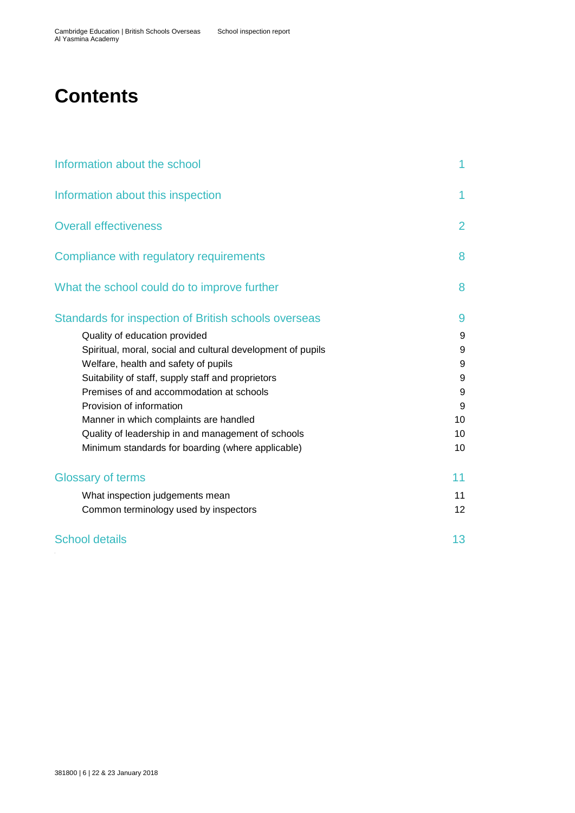# **Contents**

| Information about the school                                                                                                                                                                                                                                                    | 1                             |
|---------------------------------------------------------------------------------------------------------------------------------------------------------------------------------------------------------------------------------------------------------------------------------|-------------------------------|
| Information about this inspection                                                                                                                                                                                                                                               | 1                             |
| <b>Overall effectiveness</b>                                                                                                                                                                                                                                                    | $\overline{2}$                |
| Compliance with regulatory requirements                                                                                                                                                                                                                                         | 8                             |
| What the school could do to improve further                                                                                                                                                                                                                                     | 8                             |
| Standards for inspection of British schools overseas<br>Quality of education provided<br>Spiritual, moral, social and cultural development of pupils<br>Welfare, health and safety of pupils                                                                                    | 9<br>9<br>9<br>9              |
| Suitability of staff, supply staff and proprietors<br>Premises of and accommodation at schools<br>Provision of information<br>Manner in which complaints are handled<br>Quality of leadership in and management of schools<br>Minimum standards for boarding (where applicable) | 9<br>9<br>9<br>10<br>10<br>10 |
| <b>Glossary of terms</b>                                                                                                                                                                                                                                                        | 11                            |
| What inspection judgements mean<br>Common terminology used by inspectors                                                                                                                                                                                                        | 11<br>12 <sup>2</sup>         |
| <b>School details</b>                                                                                                                                                                                                                                                           | 13                            |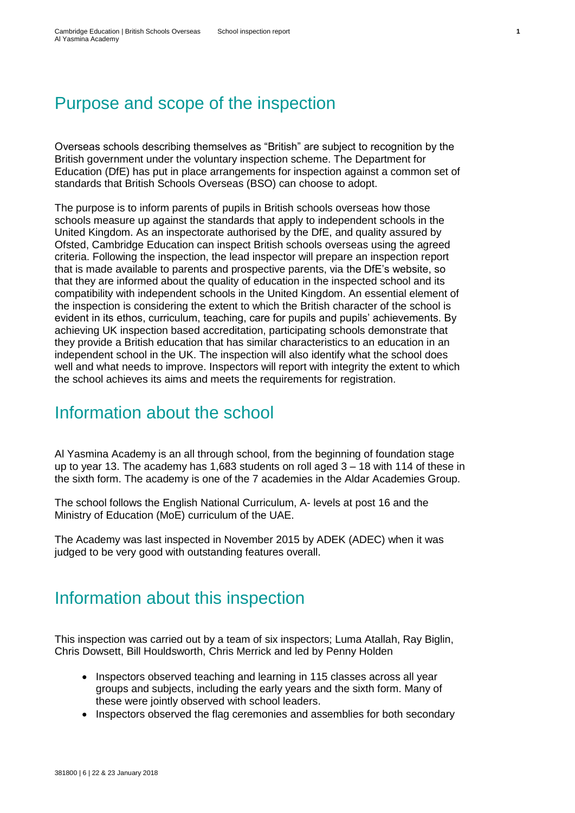# Purpose and scope of the inspection

Overseas schools describing themselves as "British" are subject to recognition by the British government under the voluntary inspection scheme. The Department for Education (DfE) has put in place arrangements for inspection against a common set of standards that British Schools Overseas (BSO) can choose to adopt.

The purpose is to inform parents of pupils in British schools overseas how those schools measure up against the standards that apply to independent schools in the United Kingdom. As an inspectorate authorised by the DfE, and quality assured by Ofsted, Cambridge Education can inspect British schools overseas using the agreed criteria. Following the inspection, the lead inspector will prepare an inspection report that is made available to parents and prospective parents, via the DfE's website, so that they are informed about the quality of education in the inspected school and its compatibility with independent schools in the United Kingdom. An essential element of the inspection is considering the extent to which the British character of the school is evident in its ethos, curriculum, teaching, care for pupils and pupils' achievements. By achieving UK inspection based accreditation, participating schools demonstrate that they provide a British education that has similar characteristics to an education in an independent school in the UK. The inspection will also identify what the school does well and what needs to improve. Inspectors will report with integrity the extent to which the school achieves its aims and meets the requirements for registration.

## <span id="page-6-0"></span>Information about the school

Al Yasmina Academy is an all through school, from the beginning of foundation stage up to year 13. The academy has 1,683 students on roll aged 3 – 18 with 114 of these in the sixth form. The academy is one of the 7 academies in the Aldar Academies Group.

The school follows the English National Curriculum, A- levels at post 16 and the Ministry of Education (MoE) curriculum of the UAE.

The Academy was last inspected in November 2015 by ADEK (ADEC) when it was judged to be very good with outstanding features overall.

# <span id="page-6-1"></span>Information about this inspection

This inspection was carried out by a team of six inspectors; Luma Atallah, Ray Biglin, Chris Dowsett, Bill Houldsworth, Chris Merrick and led by Penny Holden

- Inspectors observed teaching and learning in 115 classes across all year groups and subjects, including the early years and the sixth form. Many of these were jointly observed with school leaders.
- Inspectors observed the flag ceremonies and assemblies for both secondary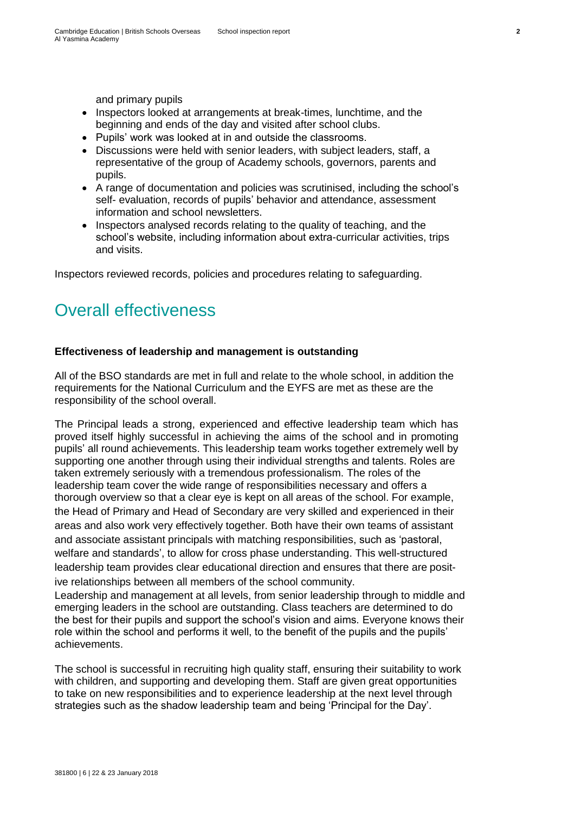and primary pupils

- Inspectors looked at arrangements at break-times, lunchtime, and the beginning and ends of the day and visited after school clubs.
- Pupils' work was looked at in and outside the classrooms.
- Discussions were held with senior leaders, with subject leaders, staff, a representative of the group of Academy schools, governors, parents and pupils.
- A range of documentation and policies was scrutinised, including the school's self- evaluation, records of pupils' behavior and attendance, assessment information and school newsletters.
- Inspectors analysed records relating to the quality of teaching, and the school's website, including information about extra-curricular activities, trips and visits.

Inspectors reviewed records, policies and procedures relating to safeguarding.

# <span id="page-7-0"></span>Overall effectiveness

#### **Effectiveness of leadership and management is outstanding**

All of the BSO standards are met in full and relate to the whole school, in addition the requirements for the National Curriculum and the EYFS are met as these are the responsibility of the school overall.

The Principal leads a strong, experienced and effective leadership team which has proved itself highly successful in achieving the aims of the school and in promoting pupils' all round achievements. This leadership team works together extremely well by supporting one another through using their individual strengths and talents. Roles are taken extremely seriously with a tremendous professionalism. The roles of the leadership team cover the wide range of responsibilities necessary and offers a thorough overview so that a clear eye is kept on all areas of the school. For example, the Head of Primary and Head of Secondary are very skilled and experienced in their areas and also work very effectively together. Both have their own teams of assistant and associate assistant principals with matching responsibilities, such as 'pastoral, welfare and standards', to allow for cross phase understanding. This well-structured leadership team provides clear educational direction and ensures that there are positive relationships between all members of the school community.

Leadership and management at all levels, from senior leadership through to middle and emerging leaders in the school are outstanding. Class teachers are determined to do the best for their pupils and support the school's vision and aims. Everyone knows their role within the school and performs it well, to the benefit of the pupils and the pupils' achievements.

The school is successful in recruiting high quality staff, ensuring their suitability to work with children, and supporting and developing them. Staff are given great opportunities to take on new responsibilities and to experience leadership at the next level through strategies such as the shadow leadership team and being 'Principal for the Day'.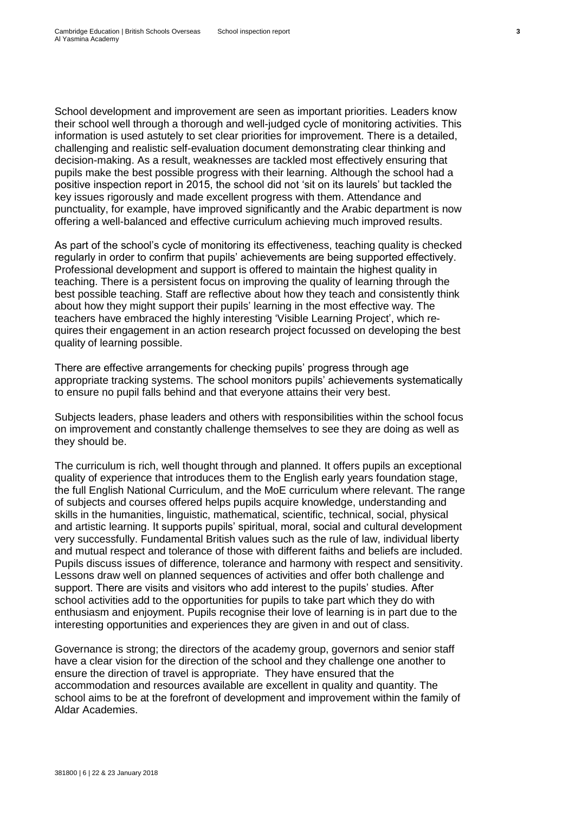School development and improvement are seen as important priorities. Leaders know their school well through a thorough and well-judged cycle of monitoring activities. This information is used astutely to set clear priorities for improvement. There is a detailed, challenging and realistic self-evaluation document demonstrating clear thinking and decision-making. As a result, weaknesses are tackled most effectively ensuring that pupils make the best possible progress with their learning. Although the school had a positive inspection report in 2015, the school did not 'sit on its laurels' but tackled the key issues rigorously and made excellent progress with them. Attendance and punctuality, for example, have improved significantly and the Arabic department is now offering a well-balanced and effective curriculum achieving much improved results.

As part of the school's cycle of monitoring its effectiveness, teaching quality is checked regularly in order to confirm that pupils' achievements are being supported effectively. Professional development and support is offered to maintain the highest quality in teaching. There is a persistent focus on improving the quality of learning through the best possible teaching. Staff are reflective about how they teach and consistently think about how they might support their pupils' learning in the most effective way. The teachers have embraced the highly interesting 'Visible Learning Project', which requires their engagement in an action research project focussed on developing the best quality of learning possible.

There are effective arrangements for checking pupils' progress through age appropriate tracking systems. The school monitors pupils' achievements systematically to ensure no pupil falls behind and that everyone attains their very best.

Subjects leaders, phase leaders and others with responsibilities within the school focus on improvement and constantly challenge themselves to see they are doing as well as they should be.

The curriculum is rich, well thought through and planned. It offers pupils an exceptional quality of experience that introduces them to the English early years foundation stage, the full English National Curriculum, and the MoE curriculum where relevant. The range of subjects and courses offered helps pupils acquire knowledge, understanding and skills in the humanities, linguistic, mathematical, scientific, technical, social, physical and artistic learning. It supports pupils' spiritual, moral, social and cultural development very successfully. Fundamental British values such as the rule of law, individual liberty and mutual respect and tolerance of those with different faiths and beliefs are included. Pupils discuss issues of difference, tolerance and harmony with respect and sensitivity. Lessons draw well on planned sequences of activities and offer both challenge and support. There are visits and visitors who add interest to the pupils' studies. After school activities add to the opportunities for pupils to take part which they do with enthusiasm and enjoyment. Pupils recognise their love of learning is in part due to the interesting opportunities and experiences they are given in and out of class.

Governance is strong; the directors of the academy group, governors and senior staff have a clear vision for the direction of the school and they challenge one another to ensure the direction of travel is appropriate. They have ensured that the accommodation and resources available are excellent in quality and quantity. The school aims to be at the forefront of development and improvement within the family of Aldar Academies.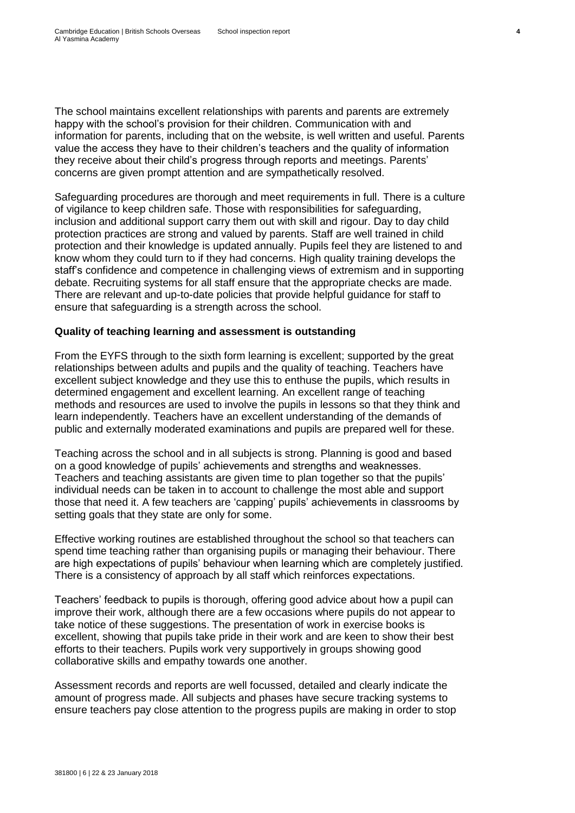The school maintains excellent relationships with parents and parents are extremely happy with the school's provision for their children. Communication with and information for parents, including that on the website, is well written and useful. Parents value the access they have to their children's teachers and the quality of information they receive about their child's progress through reports and meetings. Parents' concerns are given prompt attention and are sympathetically resolved.

Safeguarding procedures are thorough and meet requirements in full. There is a culture of vigilance to keep children safe. Those with responsibilities for safeguarding, inclusion and additional support carry them out with skill and rigour. Day to day child protection practices are strong and valued by parents. Staff are well trained in child protection and their knowledge is updated annually. Pupils feel they are listened to and know whom they could turn to if they had concerns. High quality training develops the staff's confidence and competence in challenging views of extremism and in supporting debate. Recruiting systems for all staff ensure that the appropriate checks are made. There are relevant and up-to-date policies that provide helpful guidance for staff to ensure that safeguarding is a strength across the school.

#### **Quality of teaching learning and assessment is outstanding**

From the EYFS through to the sixth form learning is excellent; supported by the great relationships between adults and pupils and the quality of teaching. Teachers have excellent subject knowledge and they use this to enthuse the pupils, which results in determined engagement and excellent learning. An excellent range of teaching methods and resources are used to involve the pupils in lessons so that they think and learn independently. Teachers have an excellent understanding of the demands of public and externally moderated examinations and pupils are prepared well for these.

Teaching across the school and in all subjects is strong. Planning is good and based on a good knowledge of pupils' achievements and strengths and weaknesses. Teachers and teaching assistants are given time to plan together so that the pupils' individual needs can be taken in to account to challenge the most able and support those that need it. A few teachers are 'capping' pupils' achievements in classrooms by setting goals that they state are only for some.

Effective working routines are established throughout the school so that teachers can spend time teaching rather than organising pupils or managing their behaviour. There are high expectations of pupils' behaviour when learning which are completely justified. There is a consistency of approach by all staff which reinforces expectations.

Teachers' feedback to pupils is thorough, offering good advice about how a pupil can improve their work, although there are a few occasions where pupils do not appear to take notice of these suggestions. The presentation of work in exercise books is excellent, showing that pupils take pride in their work and are keen to show their best efforts to their teachers. Pupils work very supportively in groups showing good collaborative skills and empathy towards one another.

Assessment records and reports are well focussed, detailed and clearly indicate the amount of progress made. All subjects and phases have secure tracking systems to ensure teachers pay close attention to the progress pupils are making in order to stop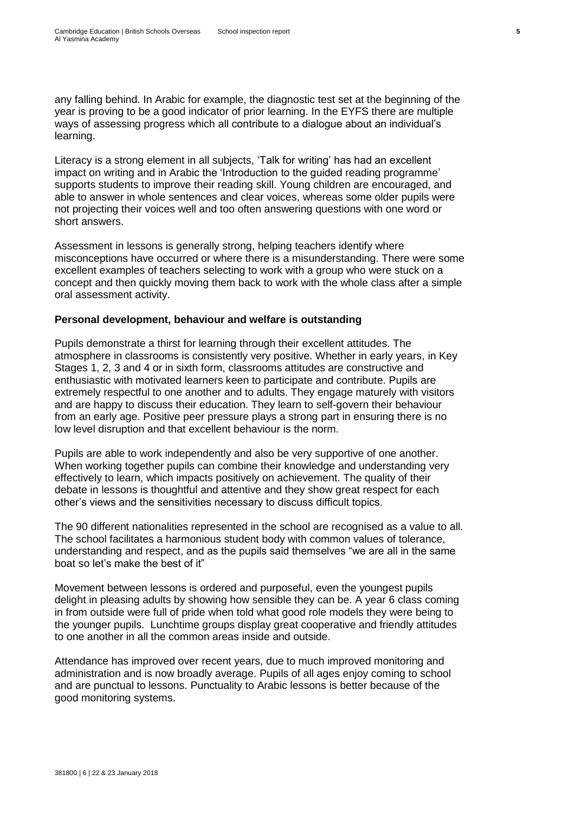any falling behind. In Arabic for example, the diagnostic test set at the beginning of the year is proving to be a good indicator of prior learning. In the EYFS there are multiple ways of assessing progress which all contribute to a dialogue about an individual's learning.

Literacy is a strong element in all subjects, 'Talk for writing' has had an excellent impact on writing and in Arabic the 'Introduction to the guided reading programme' supports students to improve their reading skill. Young children are encouraged, and able to answer in whole sentences and clear voices, whereas some older pupils were not projecting their voices well and too often answering questions with one word or short answers.

Assessment in lessons is generally strong, helping teachers identify where misconceptions have occurred or where there is a misunderstanding. There were some excellent examples of teachers selecting to work with a group who were stuck on a concept and then quickly moving them back to work with the whole class after a simple oral assessment activity.

#### **Personal development, behaviour and welfare is outstanding**

Pupils demonstrate a thirst for learning through their excellent attitudes. The atmosphere in classrooms is consistently very positive. Whether in early years, in Key Stages 1, 2, 3 and 4 or in sixth form, classrooms attitudes are constructive and enthusiastic with motivated learners keen to participate and contribute. Pupils are extremely respectful to one another and to adults. They engage maturely with visitors and are happy to discuss their education. They learn to self-govern their behaviour from an early age. Positive peer pressure plays a strong part in ensuring there is no low level disruption and that excellent behaviour is the norm.

Pupils are able to work independently and also be very supportive of one another. When working together pupils can combine their knowledge and understanding very effectively to learn, which impacts positively on achievement. The quality of their debate in lessons is thoughtful and attentive and they show great respect for each other's views and the sensitivities necessary to discuss difficult topics.

The 90 different nationalities represented in the school are recognised as a value to all. The school facilitates a harmonious student body with common values of tolerance, understanding and respect, and as the pupils said themselves "we are all in the same boat so let's make the best of it"

Movement between lessons is ordered and purposeful, even the youngest pupils delight in pleasing adults by showing how sensible they can be. A year 6 class coming in from outside were full of pride when told what good role models they were being to the younger pupils. Lunchtime groups display great cooperative and friendly attitudes to one another in all the common areas inside and outside.

Attendance has improved over recent years, due to much improved monitoring and administration and is now broadly average. Pupils of all ages enjoy coming to school and are punctual to lessons. Punctuality to Arabic lessons is better because of the good monitoring systems.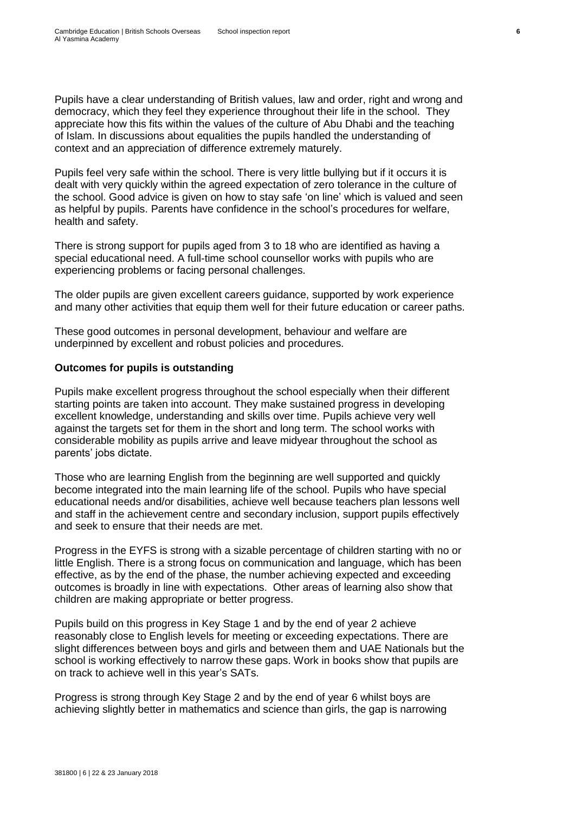Pupils have a clear understanding of British values, law and order, right and wrong and democracy, which they feel they experience throughout their life in the school. They appreciate how this fits within the values of the culture of Abu Dhabi and the teaching of Islam. In discussions about equalities the pupils handled the understanding of context and an appreciation of difference extremely maturely.

Pupils feel very safe within the school. There is very little bullying but if it occurs it is dealt with very quickly within the agreed expectation of zero tolerance in the culture of the school. Good advice is given on how to stay safe 'on line' which is valued and seen as helpful by pupils. Parents have confidence in the school's procedures for welfare, health and safety.

There is strong support for pupils aged from 3 to 18 who are identified as having a special educational need. A full-time school counsellor works with pupils who are experiencing problems or facing personal challenges.

The older pupils are given excellent careers guidance, supported by work experience and many other activities that equip them well for their future education or career paths.

These good outcomes in personal development, behaviour and welfare are underpinned by excellent and robust policies and procedures.

#### **Outcomes for pupils is outstanding**

Pupils make excellent progress throughout the school especially when their different starting points are taken into account. They make sustained progress in developing excellent knowledge, understanding and skills over time. Pupils achieve very well against the targets set for them in the short and long term. The school works with considerable mobility as pupils arrive and leave midyear throughout the school as parents' jobs dictate.

Those who are learning English from the beginning are well supported and quickly become integrated into the main learning life of the school. Pupils who have special educational needs and/or disabilities, achieve well because teachers plan lessons well and staff in the achievement centre and secondary inclusion, support pupils effectively and seek to ensure that their needs are met.

Progress in the EYFS is strong with a sizable percentage of children starting with no or little English. There is a strong focus on communication and language, which has been effective, as by the end of the phase, the number achieving expected and exceeding outcomes is broadly in line with expectations. Other areas of learning also show that children are making appropriate or better progress.

Pupils build on this progress in Key Stage 1 and by the end of year 2 achieve reasonably close to English levels for meeting or exceeding expectations. There are slight differences between boys and girls and between them and UAE Nationals but the school is working effectively to narrow these gaps. Work in books show that pupils are on track to achieve well in this year's SATs.

Progress is strong through Key Stage 2 and by the end of year 6 whilst boys are achieving slightly better in mathematics and science than girls, the gap is narrowing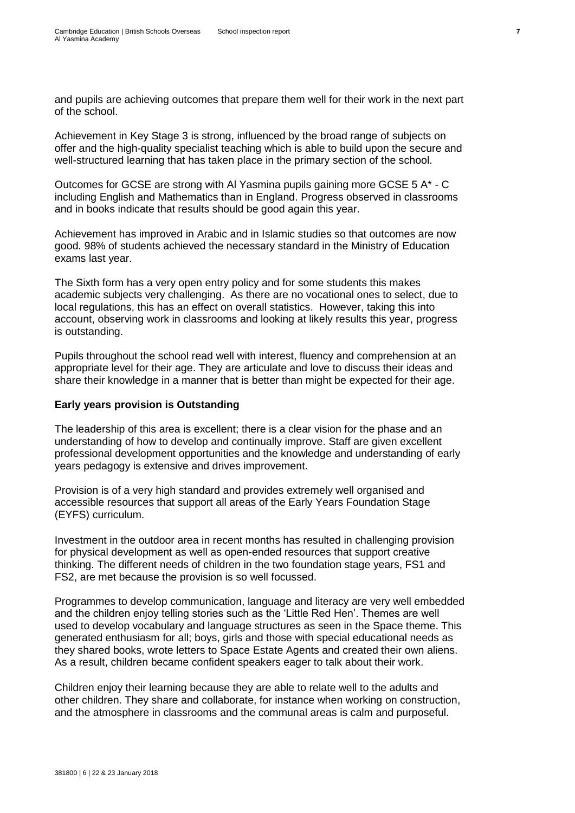and pupils are achieving outcomes that prepare them well for their work in the next part of the school.

Achievement in Key Stage 3 is strong, influenced by the broad range of subjects on offer and the high-quality specialist teaching which is able to build upon the secure and well-structured learning that has taken place in the primary section of the school.

Outcomes for GCSE are strong with Al Yasmina pupils gaining more GCSE 5 A\* - C including English and Mathematics than in England. Progress observed in classrooms and in books indicate that results should be good again this year.

Achievement has improved in Arabic and in Islamic studies so that outcomes are now good. 98% of students achieved the necessary standard in the Ministry of Education exams last year.

The Sixth form has a very open entry policy and for some students this makes academic subjects very challenging. As there are no vocational ones to select, due to local regulations, this has an effect on overall statistics. However, taking this into account, observing work in classrooms and looking at likely results this year, progress is outstanding.

Pupils throughout the school read well with interest, fluency and comprehension at an appropriate level for their age. They are articulate and love to discuss their ideas and share their knowledge in a manner that is better than might be expected for their age.

#### **Early years provision is Outstanding**

The leadership of this area is excellent; there is a clear vision for the phase and an understanding of how to develop and continually improve. Staff are given excellent professional development opportunities and the knowledge and understanding of early years pedagogy is extensive and drives improvement.

Provision is of a very high standard and provides extremely well organised and accessible resources that support all areas of the Early Years Foundation Stage (EYFS) curriculum.

Investment in the outdoor area in recent months has resulted in challenging provision for physical development as well as open-ended resources that support creative thinking. The different needs of children in the two foundation stage years, FS1 and FS2, are met because the provision is so well focussed.

Programmes to develop communication, language and literacy are very well embedded and the children enjoy telling stories such as the 'Little Red Hen'. Themes are well used to develop vocabulary and language structures as seen in the Space theme. This generated enthusiasm for all; boys, girls and those with special educational needs as they shared books, wrote letters to Space Estate Agents and created their own aliens. As a result, children became confident speakers eager to talk about their work.

Children enjoy their learning because they are able to relate well to the adults and other children. They share and collaborate, for instance when working on construction, and the atmosphere in classrooms and the communal areas is calm and purposeful.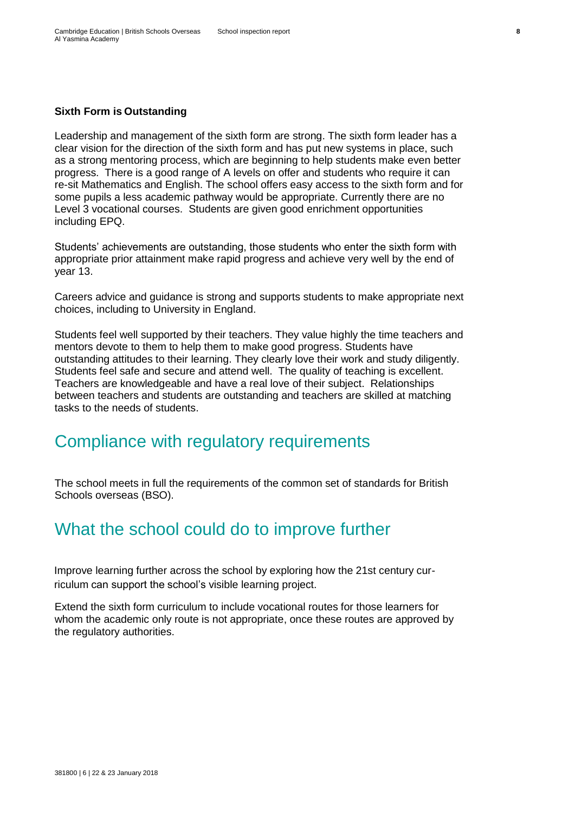#### **Sixth Form is Outstanding**

Leadership and management of the sixth form are strong. The sixth form leader has a clear vision for the direction of the sixth form and has put new systems in place, such as a strong mentoring process, which are beginning to help students make even better progress. There is a good range of A levels on offer and students who require it can re-sit Mathematics and English. The school offers easy access to the sixth form and for some pupils a less academic pathway would be appropriate. Currently there are no Level 3 vocational courses. Students are given good enrichment opportunities including EPQ.

Students' achievements are outstanding, those students who enter the sixth form with appropriate prior attainment make rapid progress and achieve very well by the end of year 13.

Careers advice and guidance is strong and supports students to make appropriate next choices, including to University in England.

Students feel well supported by their teachers. They value highly the time teachers and mentors devote to them to help them to make good progress. Students have outstanding attitudes to their learning. They clearly love their work and study diligently. Students feel safe and secure and attend well. The quality of teaching is excellent. Teachers are knowledgeable and have a real love of their subject. Relationships between teachers and students are outstanding and teachers are skilled at matching tasks to the needs of students.

### <span id="page-13-0"></span>Compliance with regulatory requirements

The school meets in full the requirements of the common set of standards for British Schools overseas (BSO).

## <span id="page-13-1"></span>What the school could do to improve further

Improve learning further across the school by exploring how the 21st century curriculum can support the school's visible learning project.

Extend the sixth form curriculum to include vocational routes for those learners for whom the academic only route is not appropriate, once these routes are approved by the regulatory authorities.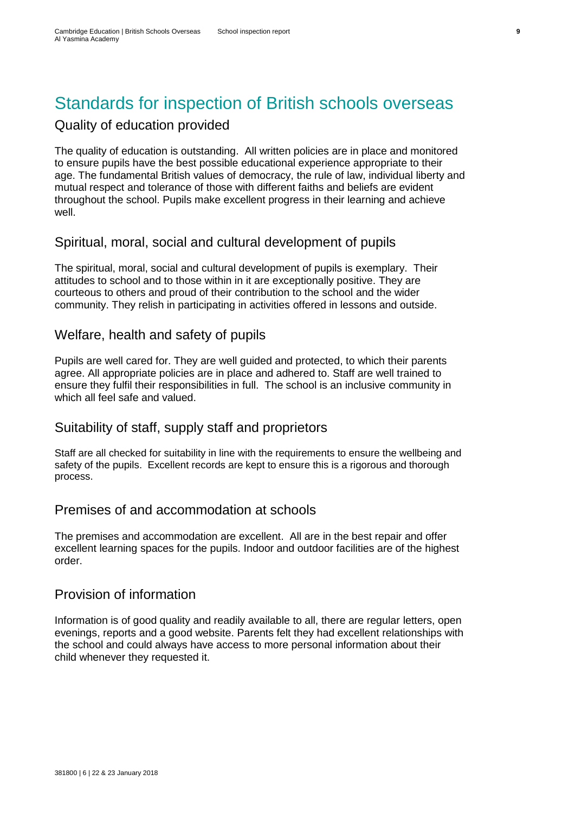# <span id="page-14-0"></span>Standards for inspection of British schools overseas

### <span id="page-14-1"></span>Quality of education provided

The quality of education is outstanding. All written policies are in place and monitored to ensure pupils have the best possible educational experience appropriate to their age. The fundamental British values of democracy, the rule of law, individual liberty and mutual respect and tolerance of those with different faiths and beliefs are evident throughout the school. Pupils make excellent progress in their learning and achieve well.

### <span id="page-14-2"></span>Spiritual, moral, social and cultural development of pupils

The spiritual, moral, social and cultural development of pupils is exemplary. Their attitudes to school and to those within in it are exceptionally positive. They are courteous to others and proud of their contribution to the school and the wider community. They relish in participating in activities offered in lessons and outside.

### <span id="page-14-3"></span>Welfare, health and safety of pupils

Pupils are well cared for. They are well guided and protected, to which their parents agree. All appropriate policies are in place and adhered to. Staff are well trained to ensure they fulfil their responsibilities in full. The school is an inclusive community in which all feel safe and valued.

### <span id="page-14-4"></span>Suitability of staff, supply staff and proprietors

Staff are all checked for suitability in line with the requirements to ensure the wellbeing and safety of the pupils. Excellent records are kept to ensure this is a rigorous and thorough process.

#### <span id="page-14-5"></span>Premises of and accommodation at schools

The premises and accommodation are excellent. All are in the best repair and offer excellent learning spaces for the pupils. Indoor and outdoor facilities are of the highest order.

#### <span id="page-14-6"></span>Provision of information

Information is of good quality and readily available to all, there are regular letters, open evenings, reports and a good website. Parents felt they had excellent relationships with the school and could always have access to more personal information about their child whenever they requested it.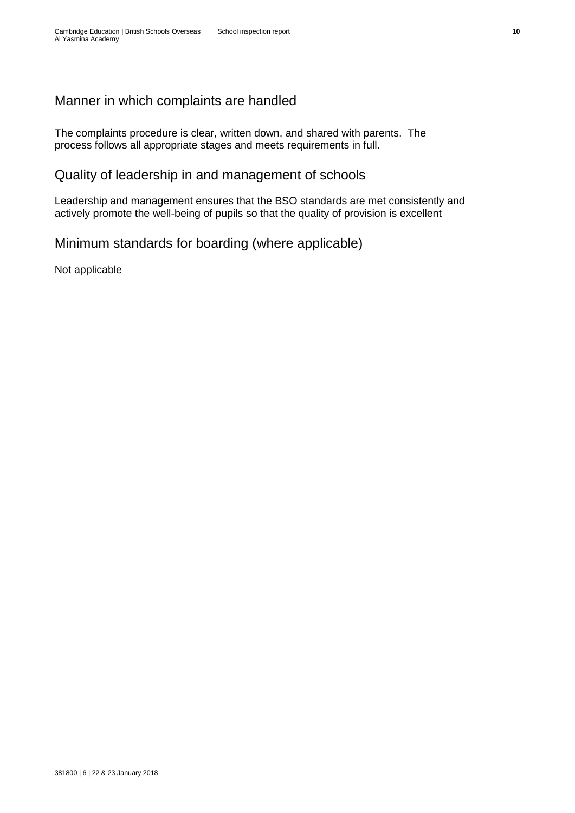### <span id="page-15-0"></span>Manner in which complaints are handled

The complaints procedure is clear, written down, and shared with parents. The process follows all appropriate stages and meets requirements in full.

### <span id="page-15-1"></span>Quality of leadership in and management of schools

Leadership and management ensures that the BSO standards are met consistently and actively promote the well-being of pupils so that the quality of provision is excellent

### <span id="page-15-2"></span>Minimum standards for boarding (where applicable)

Not applicable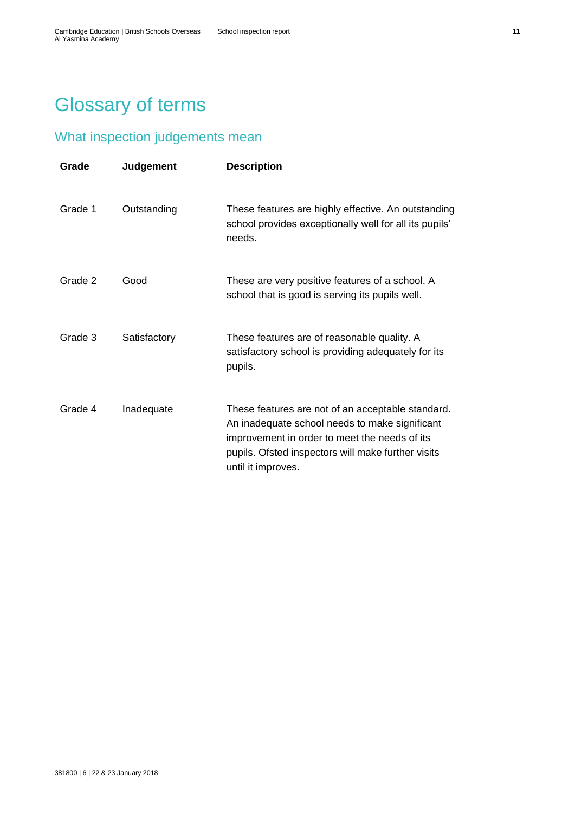# <span id="page-16-0"></span>Glossary of terms

## <span id="page-16-1"></span>What inspection judgements mean

| Grade   | <b>Judgement</b> | <b>Description</b>                                                                                                                                                                                                               |
|---------|------------------|----------------------------------------------------------------------------------------------------------------------------------------------------------------------------------------------------------------------------------|
| Grade 1 | Outstanding      | These features are highly effective. An outstanding<br>school provides exceptionally well for all its pupils'<br>needs.                                                                                                          |
| Grade 2 | Good             | These are very positive features of a school. A<br>school that is good is serving its pupils well.                                                                                                                               |
| Grade 3 | Satisfactory     | These features are of reasonable quality. A<br>satisfactory school is providing adequately for its<br>pupils.                                                                                                                    |
| Grade 4 | Inadequate       | These features are not of an acceptable standard.<br>An inadequate school needs to make significant<br>improvement in order to meet the needs of its<br>pupils. Ofsted inspectors will make further visits<br>until it improves. |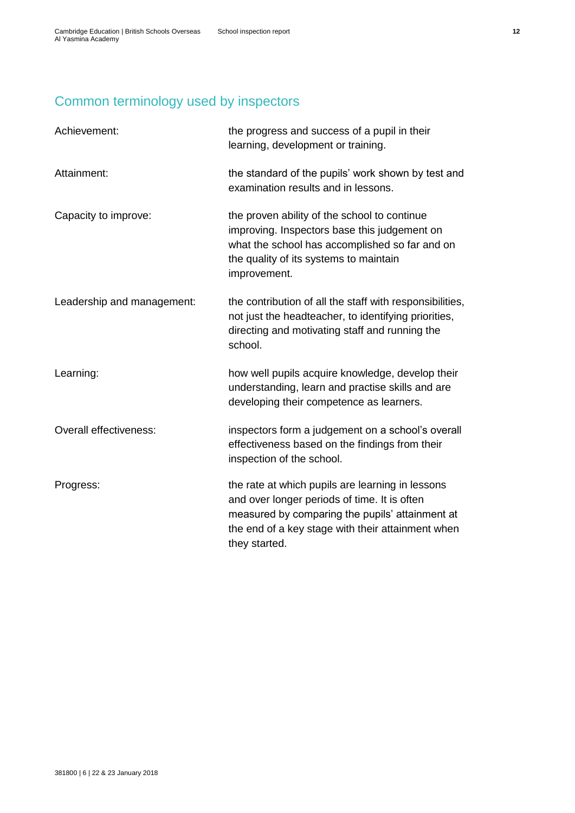## <span id="page-17-0"></span>Common terminology used by inspectors

| Achievement:                  | the progress and success of a pupil in their<br>learning, development or training.                                                                                                                                        |
|-------------------------------|---------------------------------------------------------------------------------------------------------------------------------------------------------------------------------------------------------------------------|
| Attainment:                   | the standard of the pupils' work shown by test and<br>examination results and in lessons.                                                                                                                                 |
| Capacity to improve:          | the proven ability of the school to continue<br>improving. Inspectors base this judgement on<br>what the school has accomplished so far and on<br>the quality of its systems to maintain<br>improvement.                  |
| Leadership and management:    | the contribution of all the staff with responsibilities,<br>not just the headteacher, to identifying priorities,<br>directing and motivating staff and running the<br>school.                                             |
| Learning:                     | how well pupils acquire knowledge, develop their<br>understanding, learn and practise skills and are<br>developing their competence as learners.                                                                          |
| <b>Overall effectiveness:</b> | inspectors form a judgement on a school's overall<br>effectiveness based on the findings from their<br>inspection of the school.                                                                                          |
| Progress:                     | the rate at which pupils are learning in lessons<br>and over longer periods of time. It is often<br>measured by comparing the pupils' attainment at<br>the end of a key stage with their attainment when<br>they started. |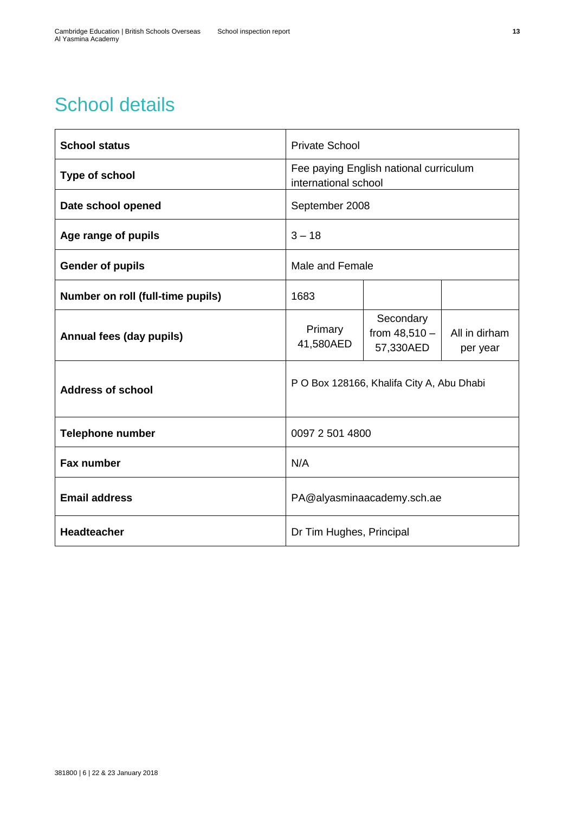# <span id="page-18-0"></span>School details

| <b>School status</b>              | <b>Private School</b>                                          |                                           |                           |
|-----------------------------------|----------------------------------------------------------------|-------------------------------------------|---------------------------|
| Type of school                    | Fee paying English national curriculum<br>international school |                                           |                           |
| Date school opened                | September 2008                                                 |                                           |                           |
| Age range of pupils               | $3 - 18$                                                       |                                           |                           |
| <b>Gender of pupils</b>           | Male and Female                                                |                                           |                           |
| Number on roll (full-time pupils) | 1683                                                           |                                           |                           |
| Annual fees (day pupils)          | Primary<br>41,580AED                                           | Secondary<br>from $48,510 -$<br>57,330AED | All in dirham<br>per year |
| <b>Address of school</b>          | P O Box 128166, Khalifa City A, Abu Dhabi                      |                                           |                           |
| <b>Telephone number</b>           | 0097 2 501 4800                                                |                                           |                           |
| <b>Fax number</b>                 | N/A                                                            |                                           |                           |
| <b>Email address</b>              | PA@alyasminaacademy.sch.ae                                     |                                           |                           |
| <b>Headteacher</b>                | Dr Tim Hughes, Principal                                       |                                           |                           |